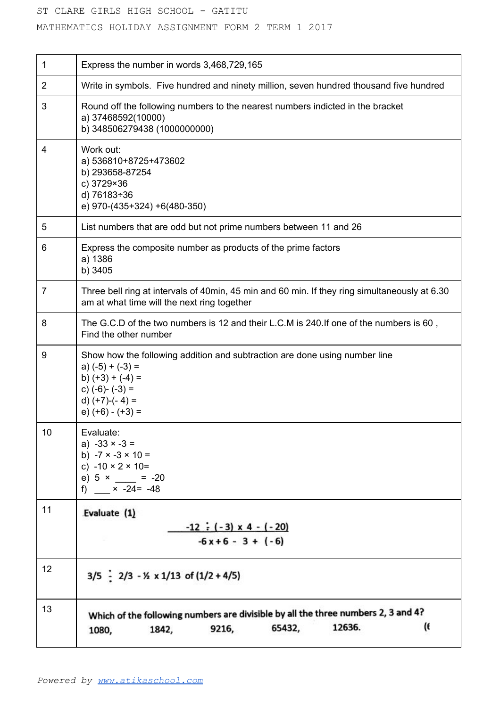## ST CLARE GIRLS HIGH SCHOOL - GATITU

MATHEMATICS HOLIDAY ASSIGNMENT FORM 2 TERM 1 2017

| 1              | Express the number in words 3,468,729,165                                                                                                                                                |
|----------------|------------------------------------------------------------------------------------------------------------------------------------------------------------------------------------------|
| $\overline{2}$ | Write in symbols. Five hundred and ninety million, seven hundred thousand five hundred                                                                                                   |
| 3              | Round off the following numbers to the nearest numbers indicted in the bracket<br>a) 37468592(10000)<br>b) 348506279438 (1000000000)                                                     |
| 4              | Work out:<br>a) 536810+8725+473602<br>b) 293658-87254<br>c) 3729×36<br>d) 76183÷36<br>e) 970-(435+324) +6(480-350)                                                                       |
| 5              | List numbers that are odd but not prime numbers between 11 and 26                                                                                                                        |
| 6              | Express the composite number as products of the prime factors<br>a) 1386<br>b) 3405                                                                                                      |
| 7              | Three bell ring at intervals of 40min, 45 min and 60 min. If they ring simultaneously at 6.30<br>am at what time will the next ring together                                             |
| 8              | The G.C.D of the two numbers is 12 and their L.C.M is 240.If one of the numbers is 60,<br>Find the other number                                                                          |
| 9              | Show how the following addition and subtraction are done using number line<br>a) $(-5) + (-3) =$<br>b) $(+3) + (-4) =$<br>c) $(-6)$ - $(-3)$ =<br>d) $(+7)-(4) =$<br>$(e)$ (+6) - (+3) = |
| 10             | Evaluate:<br>a) $-33 \times -3 =$<br>b) $-7 \times -3 \times 10 =$<br>c) $-10 \times 2 \times 10=$<br>e) $5 \times = -20$<br>f) $\times$ -24= -48                                        |
| 11             | Evaluate (1)<br>$-12 \div (-3) \times 4 - (-20)$<br>$-6x+6-3+(-6)$                                                                                                                       |
| 12             | $3/5$ $-$ 2/3 $-$ 1/2 x 1/13 of (1/2 + 4/5)                                                                                                                                              |
| 13             | Which of the following numbers are divisible by all the three numbers 2, 3 and 4?<br>(6<br>12636.<br>65432,<br>9216,<br>1842,<br>1080,                                                   |